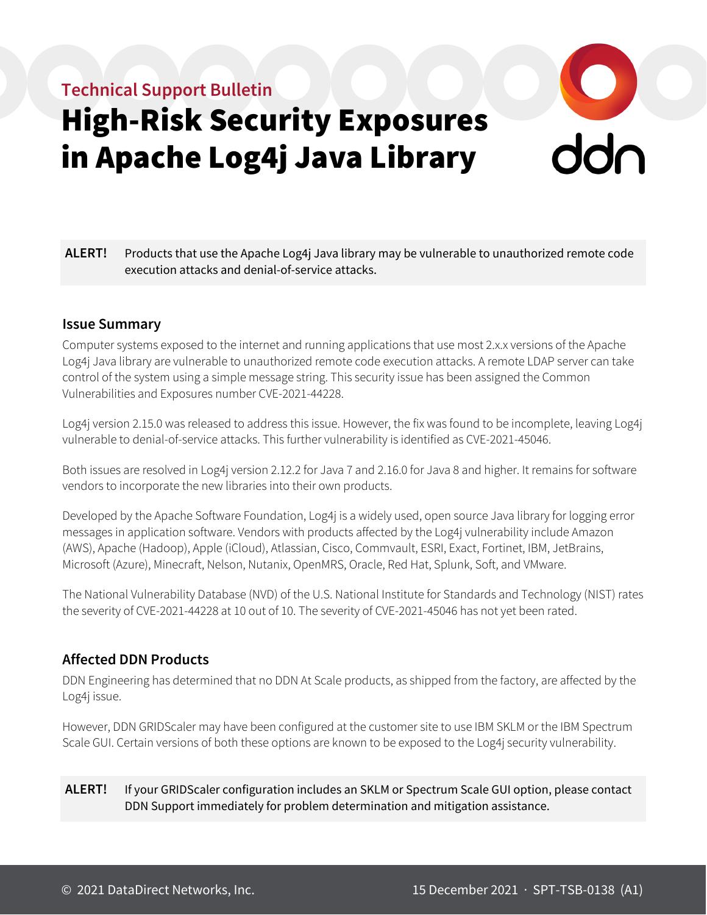# **Technical Support Bulletin**

# High-Risk Security Exposures in Apache Log4j Java Library



#### **Issue Summary**

Computer systems exposed to the internet and running applications that use most 2.x.x versions of the Apache Log4j Java library are vulnerable to unauthorized remote code execution attacks. A remote LDAP server can take control of the system using a simple message string. This security issue has been assigned the Common Vulnerabilities and Exposures number CVE-2021-44228.

Log4j version 2.15.0 was released to address this issue. However, the fix was found to be incomplete, leaving Log4j vulnerable to denial-of-service attacks. This further vulnerability is identified as CVE-2021-45046.

Both issues are resolved in Log4j version 2.12.2 for Java 7 and 2.16.0 for Java 8 and higher. It remains for software vendors to incorporate the new libraries into their own products.

Developed by the Apache Software Foundation, Log4j is a widely used, open source Java library for logging error messages in application software. Vendors with products affected by the Log4j vulnerability include Amazon (AWS), Apache (Hadoop), Apple (iCloud), Atlassian, Cisco, Commvault, ESRI, Exact, Fortinet, IBM, JetBrains, Microsoft (Azure), Minecraft, Nelson, Nutanix, OpenMRS, Oracle, Red Hat, Splunk, Soft, and VMware.

The National Vulnerability Database (NVD) of the U.S. National Institute for Standards and Technology (NIST) rates the severity of CVE-2021-44228 at 10 out of 10. The severity of CVE-2021-45046 has not yet been rated.

### **Affected DDN Products**

DDN Engineering has determined that no DDN At Scale products, as shipped from the factory, are affected by the Log4j issue.

However, DDN GRIDScaler may have been configured at the customer site to use IBM SKLM or the IBM Spectrum Scale GUI. Certain versions of both these options are known to be exposed to the Log4j security vulnerability.

#### **ALERT!** If your GRIDScaler configuration includes an SKLM or Spectrum Scale GUI option, please contact DDN Support immediately for problem determination and mitigation assistance.

 $\frac{1}{2}$